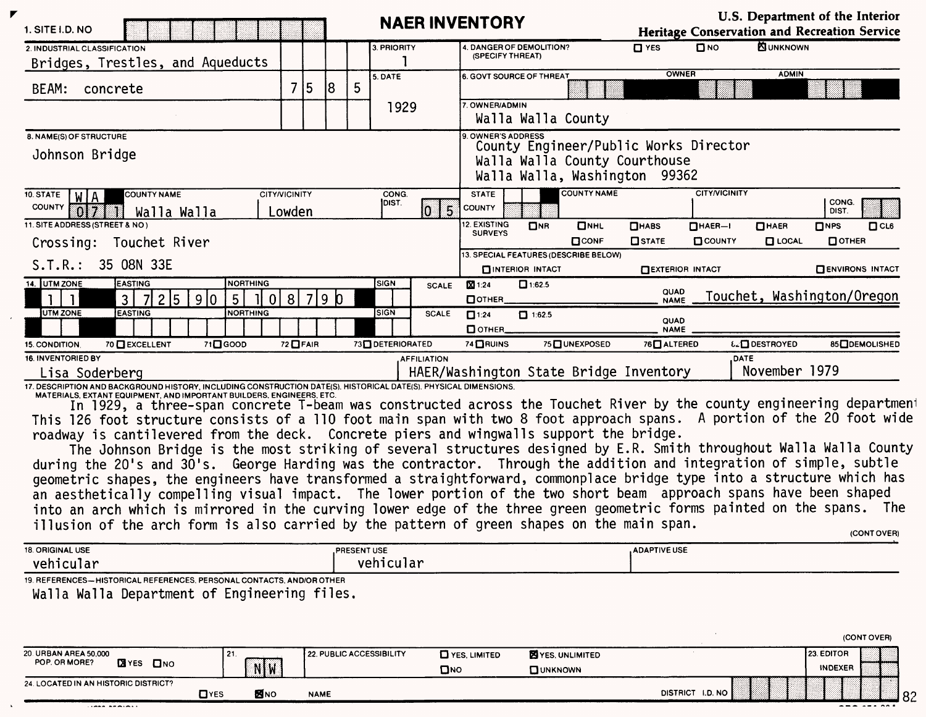| 1. SITE I.D. NO                                                                                                                                                                                                                               |                      |         |    |             |                 |                    | <b>NAER INVENTORY</b>            |                          |                                       |                                        |                                       | U.S. Department of the Interior<br>Heritage Conservation and Recreation Service |                       |                        |
|-----------------------------------------------------------------------------------------------------------------------------------------------------------------------------------------------------------------------------------------------|----------------------|---------|----|-------------|-----------------|--------------------|----------------------------------|--------------------------|---------------------------------------|----------------------------------------|---------------------------------------|---------------------------------------------------------------------------------|-----------------------|------------------------|
| 2. INDUSTRIAL CLASSIFICATION                                                                                                                                                                                                                  |                      |         |    |             | 3. PRIORITY     |                    | (SPECIFY THREAT)                 | DANGER OF DEMOLITION?    |                                       | $\Box$ YES                             | $n_{NQ}$                              | <b>NUNKNOWN</b>                                                                 |                       |                        |
| Bridges, Trestles, and Aqueducts                                                                                                                                                                                                              |                      |         |    |             |                 |                    |                                  |                          |                                       |                                        |                                       |                                                                                 |                       |                        |
| BEAM: concrete                                                                                                                                                                                                                                |                      | 7 5     | 18 | 5           | 5. DATE         |                    | 6. GOVT SOURCE OF THREAT         |                          |                                       |                                        | OWNER                                 | <b>ADMIN</b>                                                                    |                       |                        |
|                                                                                                                                                                                                                                               |                      |         |    |             |                 |                    | 7. OWNER/ADMIN                   |                          |                                       |                                        |                                       |                                                                                 |                       |                        |
|                                                                                                                                                                                                                                               |                      |         |    |             | 1929            |                    |                                  |                          | Walla Walla County                    |                                        |                                       |                                                                                 |                       |                        |
| 8. NAME(S) OF STRUCTURE                                                                                                                                                                                                                       |                      |         |    |             |                 |                    | 9. OWNER'S ADDRESS               |                          |                                       |                                        |                                       |                                                                                 |                       |                        |
| Johnson Bridge                                                                                                                                                                                                                                |                      |         |    |             |                 |                    |                                  |                          |                                       | Walla Walla County Courthouse          | County Engineer/Public Works Director |                                                                                 |                       |                        |
|                                                                                                                                                                                                                                               |                      |         |    |             |                 |                    |                                  |                          |                                       | Walla Walla, Washington 99362          |                                       |                                                                                 |                       |                        |
| <b>COUNTY NAME</b><br>10. STATE<br>WIA.                                                                                                                                                                                                       | <b>CITY/VICINITY</b> |         |    |             | CONG.           |                    | <b>STATE</b>                     |                          | <b>COUNTY NAME</b>                    |                                        | <b>CITY/VICINITY</b>                  |                                                                                 |                       |                        |
| COUNTY<br>ns:<br>Walla Walla                                                                                                                                                                                                                  | Lowden               |         |    |             | DIST.           | 5                  | COUNTY                           |                          |                                       |                                        |                                       |                                                                                 | CONG.<br>DIST.        |                        |
| 11. SITE ADDRESS (STREET & NO)                                                                                                                                                                                                                |                      |         |    |             |                 |                    | <b>2. EXISTING</b>               | D <sub>NR</sub>          | $D$ <sub>NHL</sub>                    | $\Box$ HABS                            | $\Box$ HAER-I                         | $\Box$ HAER                                                                     | $\Box$ <sub>NPS</sub> | C <sub>CO</sub>        |
| Crossing: Touchet River                                                                                                                                                                                                                       |                      |         |    |             |                 |                    | <b>SURVEYS</b>                   |                          | $\Box$ CONF                           | <b>OSTATE</b>                          | <b>COUNTY</b>                         | $\Box$ LOCAL                                                                    | OOTHER                |                        |
| 35 08N 33E<br>S.T.R.:                                                                                                                                                                                                                         |                      |         |    |             |                 |                    |                                  |                          | 13. SPECIAL FEATURES (DESCRIBE BELOW) |                                        |                                       |                                                                                 |                       |                        |
|                                                                                                                                                                                                                                               |                      |         |    |             |                 |                    |                                  | <b>CHINTERIOR INTACT</b> |                                       |                                        | <b>EXTERIOR INTACT</b>                |                                                                                 |                       | <b>ENVIRONS INTACT</b> |
| 14. UTM ZONE<br><b>EASTING</b><br>NORTHING<br>7 2 5<br>$\mathbf{L}$<br>$\mathbf{3}$<br>9 0<br>5<br> 0 <br>$\mathbf{1}$                                                                                                                        |                      | 8 7 9 0 |    |             | SIGN            | <b>SCALE</b>       | <b>X</b> 1:24<br><b>П</b> ОТНЕВ. | 1:62.5                   |                                       |                                        | QUAD<br>NAME                          | Touchet, Washington/Oregon                                                      |                       |                        |
| UTM ZONE<br><b>EASTING</b><br><b>NORTHING</b>                                                                                                                                                                                                 |                      |         |    |             | <b>SIGN</b>     | <b>SCALE</b>       | $\Pi$ 1:24                       | □ 1:62.5                 |                                       |                                        |                                       |                                                                                 |                       |                        |
|                                                                                                                                                                                                                                               |                      |         |    |             |                 |                    | Потнев_                          |                          |                                       | QUAD<br><b>NAME</b>                    |                                       |                                                                                 |                       |                        |
| 70 <b>DEXCELLENT</b><br>71 <sup>0</sup> 6000<br>15. CONDITION.                                                                                                                                                                                | 72 □ FAIR            |         |    |             | 73 DETERIORATED |                    | 74 ORUINS                        |                          | 75 UNEXPOSED                          | 76 <sup>C</sup> ALTERED                |                                       | <b>&amp;_□</b> DESTROYED                                                        |                       | 85 ODEMOLISHED         |
| 16. INVENTORIED BY                                                                                                                                                                                                                            |                      |         |    |             |                 | <b>AFFILIATION</b> |                                  |                          |                                       |                                        |                                       | <b>DATE</b>                                                                     |                       |                        |
| Lisa Soderberg                                                                                                                                                                                                                                |                      |         |    |             |                 |                    |                                  |                          |                                       | HAER/Washington State Bridge Inventory |                                       | November 1979                                                                   |                       |                        |
| 17. DESCRIPTION AND BACKGROUND HISTORY, INCLUDING CONSTRUCTION DATE(S), HISTORICAL DATE(S), PHYSICAL DIMENSIONS.<br>MATERIALS, EXTANT EQUIPMENT, AND IMPORTANT BUILDERS, ENGINEERS, ETC.                                                      |                      |         |    |             |                 |                    |                                  |                          |                                       |                                        |                                       |                                                                                 |                       |                        |
| In 1929, a three-span concrete T-beam was constructed across the Touchet River by the county engineering department<br>This 126 foot structure consists of a 110 foot main span with two 8 foot approach spans. A portion of the 20 foot wide |                      |         |    |             |                 |                    |                                  |                          |                                       |                                        |                                       |                                                                                 |                       |                        |
| roadway is cantilevered from the deck. Concrete piers and wingwalls support the bridge.                                                                                                                                                       |                      |         |    |             |                 |                    |                                  |                          |                                       |                                        |                                       |                                                                                 |                       |                        |
| The Johnson Bridge is the most striking of several structures designed by E.R. Smith throughout Walla Walla County                                                                                                                            |                      |         |    |             |                 |                    |                                  |                          |                                       |                                        |                                       |                                                                                 |                       |                        |
| during the 20's and 30's. George Harding was the contractor. Through the addition and integration of simple, subtle                                                                                                                           |                      |         |    |             |                 |                    |                                  |                          |                                       |                                        |                                       |                                                                                 |                       |                        |
| geometric shapes, the engineers have transformed a straightforward, commonplace bridge type into a structure which has                                                                                                                        |                      |         |    |             |                 |                    |                                  |                          |                                       |                                        |                                       |                                                                                 |                       |                        |
| an aesthetically compelling visual impact. The lower portion of the two short beam approach spans have been shaped                                                                                                                            |                      |         |    |             |                 |                    |                                  |                          |                                       |                                        |                                       |                                                                                 |                       |                        |
| into an arch which is mirrored in the curving lower edge of the three green geometric forms painted on the spans. The                                                                                                                         |                      |         |    |             |                 |                    |                                  |                          |                                       |                                        |                                       |                                                                                 |                       |                        |
| illusion of the arch form is also carried by the pattern of green shapes on the main span.                                                                                                                                                    |                      |         |    |             |                 |                    |                                  |                          |                                       |                                        |                                       |                                                                                 |                       | (CONT OVER)            |
| 18. ORIGINAL USE                                                                                                                                                                                                                              |                      |         |    | PRESENT USE |                 |                    |                                  |                          |                                       | <b>ADAPTIVE USE</b>                    |                                       |                                                                                 |                       |                        |
| vehicular                                                                                                                                                                                                                                     |                      |         |    |             | vehicular       |                    |                                  |                          |                                       |                                        |                                       |                                                                                 |                       |                        |
| 19. REFERENCES-HISTORICAL REFERENCES, PERSONAL CONTACTS, AND/OR OTHER                                                                                                                                                                         |                      |         |    |             |                 |                    |                                  |                          |                                       |                                        |                                       |                                                                                 |                       |                        |
| Walla Walla Department of Engineering files.                                                                                                                                                                                                  |                      |         |    |             |                 |                    |                                  |                          |                                       |                                        |                                       |                                                                                 |                       |                        |
|                                                                                                                                                                                                                                               |                      |         |    |             |                 |                    |                                  |                          |                                       |                                        |                                       |                                                                                 |                       |                        |
|                                                                                                                                                                                                                                               |                      |         |    |             |                 |                    |                                  |                          |                                       |                                        |                                       |                                                                                 |                       |                        |

 $\bar{z}$ 

 $\mathbf{r}$ 

| 20 URBAN AREA 50,000<br><b>EX</b> YES<br>POP. OR MORE?<br>$\square$ NO | I 21.      | NW         | 22. PUBLIC ACCESSIBILITY | <b>CI</b> YES, LIMITED<br>Омо | <b>E</b> YES, UNLIMITED<br><b>OUNKNOWN</b> |                  | <b>23. EDITOR</b><br><b>INDEXER</b> |  |
|------------------------------------------------------------------------|------------|------------|--------------------------|-------------------------------|--------------------------------------------|------------------|-------------------------------------|--|
| 24. LOCATED IN AN HISTORIC DISTRICT?                                   | $\Box$ YES | <b>MNO</b> | <b>NAME</b>              |                               |                                            | DISTRICT I.D. NO |                                     |  |